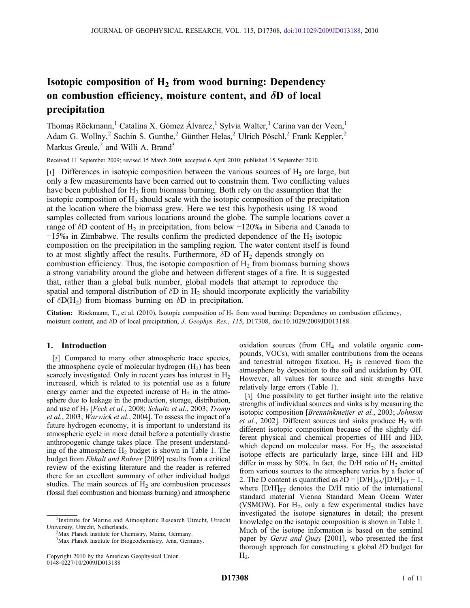# Isotopic composition of  $H_2$  from wood burning: Dependency on combustion efficiency, moisture content, and  $\delta D$  of local precipitation

Thomas Röckmann,<sup>1</sup> Catalina X. Gómez Álvarez,<sup>1</sup> Sylvia Walter,<sup>1</sup> Carina van der Veen,<sup>1</sup> Adam G. Wollny,<sup>2</sup> Sachin S. Gunthe,<sup>2</sup> Günther Helas,<sup>2</sup> Ulrich Pöschl,<sup>2</sup> Frank Keppler,<sup>2</sup> Markus Greule, $^2$  and Willi A. Brand<sup>3</sup>

Received 11 September 2009; revised 15 March 2010; accepted 6 April 2010; published 15 September 2010.

[1] Differences in isotopic composition between the various sources of  $H_2$  are large, but only a few measurements have been carried out to constrain them. Two conflicting values have been published for  $H_2$  from biomass burning. Both rely on the assumption that the isotopic composition of  $H_2$  should scale with the isotopic composition of the precipitation at the location where the biomass grew. Here we test this hypothesis using 18 wood samples collected from various locations around the globe. The sample locations cover a range of  $\delta$ D content of H<sub>2</sub> in precipitation, from below  $-120\%$  in Siberia and Canada to  $-15\%$  in Zimbabwe. The results confirm the predicted dependence of the H<sub>2</sub> isotopic composition on the precipitation in the sampling region. The water content itself is found to at most slightly affect the results. Furthermore,  $\delta D$  of  $H_2$  depends strongly on combustion efficiency. Thus, the isotopic composition of  $H_2$  from biomass burning shows a strong variability around the globe and between different stages of a fire. It is suggested that, rather than a global bulk number, global models that attempt to reproduce the spatial and temporal distribution of  $\delta D$  in  $H_2$  should incorporate explicitly the variability of  $\delta D(H_2)$  from biomass burning on  $\delta D$  in precipitation.

**Citation:** Röckmann, T., et al. (2010), Isotopic composition of  $H_2$  from wood burning: Dependency on combustion efficiency, moisture content, and  $\delta$ D of local precipitation, *J. Geophys. Res.*, 115, D17308, doi:10.1029/2009JD013188.

# 1. Introduction

[2] Compared to many other atmospheric trace species, the atmospheric cycle of molecular hydrogen  $(H<sub>2</sub>)$  has been scarcely investigated. Only in recent years has interest in  $H_2$ increased, which is related to its potential use as a future energy carrier and the expected increase of  $H_2$  in the atmosphere due to leakage in the production, storage, distribution, and use of H<sub>2</sub> [Feck et al., 2008; Schultz et al., 2003; Tromp et al., 2003; Warwick et al., 2004]. To assess the impact of a future hydrogen economy, it is important to understand its atmospheric cycle in more detail before a potentially drastic anthropogenic change takes place. The present understanding of the atmospheric  $H_2$  budget is shown in Table 1. The budget from Ehhalt and Rohrer [2009] results from a critical review of the existing literature and the reader is referred there for an excellent summary of other individual budget studies. The main sources of  $H_2$  are combustion processes (fossil fuel combustion and biomass burning) and atmospheric

oxidation sources (from  $CH<sub>4</sub>$  and volatile organic compounds, VOCs), with smaller contributions from the oceans and terrestrial nitrogen fixation.  $H_2$  is removed from the atmosphere by deposition to the soil and oxidation by OH. However, all values for source and sink strengths have relatively large errors (Table 1).

[3] One possibility to get further insight into the relative strengths of individual sources and sinks is by measuring the isotopic composition [Brenninkmeijer et al., 2003; Johnson *et al.*, 2002]. Different sources and sinks produce  $H_2$  with different isotopic composition because of the slightly different physical and chemical properties of HH and HD, which depend on molecular mass. For  $H_2$ , the associated isotope effects are particularly large, since HH and HD differ in mass by 50%. In fact, the D/H ratio of  $H_2$  emitted from various sources to the atmosphere varies by a factor of 2. The D content is quantified as  $\delta D = [D/H]_{SA}/[D/H]_{ST} - 1$ , where  $[D/H]_{ST}$  denotes the D/H ratio of the international standard material Vienna Standard Mean Ocean Water (VSMOW). For  $H_2$ , only a few experimental studies have investigated the isotope signatures in detail; the present knowledge on the isotopic composition is shown in Table 1. Much of the isotope information is based on the seminal paper by *Gerst and Quay* [2001], who presented the first thorough approach for constructing a global  $\delta$ D budget for  $H_2$ .

<sup>&</sup>lt;sup>1</sup>Institute for Marine and Atmospheric Research Utrecht, Utrecht University, Utrecht, Netherlands.

<sup>2</sup>Max Planck Institute for Chemistry, Mainz, Germany.

<sup>3</sup>Max Planck Institute for Biogeochemistry, Jena, Germany.

Copyright 2010 by the American Geophysical Union. 0148‐0227/10/2009JD013188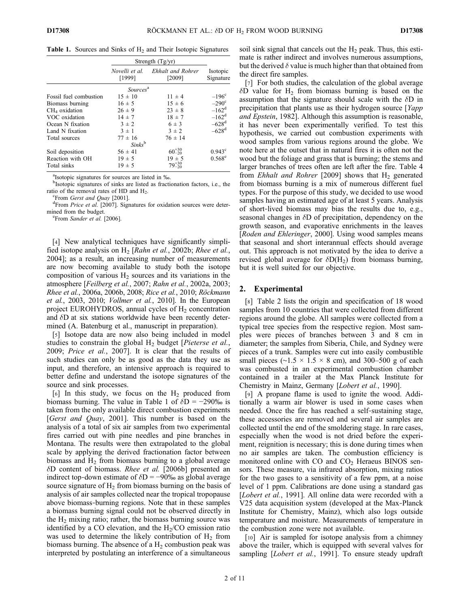**Table 1.** Sources and Sinks of  $H_2$  and Their Isotopic Signatures

|                        | Strength $(Tg/yr)$       |                                    |                       |  |  |  |  |  |  |
|------------------------|--------------------------|------------------------------------|-----------------------|--|--|--|--|--|--|
|                        | Novelli et al.<br>[1999] | <b>Ehhalt</b> and Rohrer<br>[2009] | Isotopic<br>Signature |  |  |  |  |  |  |
|                        | Sources <sup>a</sup>     |                                    |                       |  |  |  |  |  |  |
| Fossil fuel combustion | $15 \pm 10$              | $11 \pm 4$                         | $-196^\circ$          |  |  |  |  |  |  |
| Biomass burning        | $16 \pm 5$               | $15 \pm 6$                         | $-290^\circ$          |  |  |  |  |  |  |
| $CH4$ oxidation        | $26 \pm 9$               | $23 \pm 8$                         | $-162$ <sup>d</sup>   |  |  |  |  |  |  |
| VOC oxidation          | $14 \pm 7$               | $18 \pm 7$                         | $-162$ <sup>d</sup>   |  |  |  |  |  |  |
| Ocean N fixation       | $3 \pm 2$                | $6 \pm 3$                          | $-628$ <sup>d</sup>   |  |  |  |  |  |  |
| Land N fixation        | $3 \pm 1$                | $3 \pm 2$                          | $-628$ <sup>d</sup>   |  |  |  |  |  |  |
| Total sources          | $77 \pm 16$              | $76 \pm 14$                        |                       |  |  |  |  |  |  |
| $Sinks^b$              |                          |                                    |                       |  |  |  |  |  |  |
| Soil deposition        | $56 \pm 41$              | $60^{+30}_{-20}$                   | $0.943^{\circ}$       |  |  |  |  |  |  |
| Reaction with OH       | $19 \pm 5$               | $19 \pm 5$                         | $0.568^{\circ}$       |  |  |  |  |  |  |
| Total sinks            | $19 \pm 5$               | $79^{+30}_{-20}$                   |                       |  |  |  |  |  |  |

a Isotopic signatures for sources are listed in ‰.

<sup>b</sup>Isotopic signatures of sinks are listed as fractionation factors, i.e., the ratio of the removal rates of HD and H2.

<sup>c</sup>From Gerst and Quay [2001].

<sup>d</sup>From Price et al.  $[2007]$ . Signatures for oxidation sources were determined from the budget.

<sup>e</sup>From Sander et al. [2006].

[4] New analytical techniques have significantly simplified isotope analysis on  $H_2$  [Rahn et al., 2002b; Rhee et al., 2004]; as a result, an increasing number of measurements are now becoming available to study both the isotope composition of various  $H<sub>2</sub>$  sources and its variations in the atmosphere [Feilberg et al., 2007; Rahn et al., 2002a, 2003; Rhee et al., 2006a, 2006b, 2008; Rice et al., 2010; Röckmann et al., 2003, 2010; Vollmer et al., 2010]. In the European project EUROHYDROS, annual cycles of  $H_2$  concentration and  $\delta$ D at six stations worldwide have been recently determined (A. Batenburg et al., manuscript in preparation).

[5] Isotope data are now also being included in model studies to constrain the global  $H_2$  budget [*Pieterse et al.*, 2009; Price et al., 2007]. It is clear that the results of such studies can only be as good as the data they use as input, and therefore, an intensive approach is required to better define and understand the isotope signatures of the source and sink processes.

[6] In this study, we focus on the  $H_2$  produced from biomass burning. The value in Table 1 of  $\delta D = -290\%$  is taken from the only available direct combustion experiments [*Gerst and Quay*, 2001]. This number is based on the analysis of a total of six air samples from two experimental fires carried out with pine needles and pine branches in Montana. The results were then extrapolated to the global scale by applying the derived fractionation factor between biomass and  $H_2$  from biomass burning to a global average  $\delta$ D content of biomass. *Rhee et al.* [2006b] presented an indirect top-down estimate of  $\delta D = -90\%$  as global average source signature of  $H_2$  from biomass burning on the basis of analysis of air samples collected near the tropical tropopause above biomass‐burning regions. Note that in these samples a biomass burning signal could not be observed directly in the  $H_2$  mixing ratio; rather, the biomass burning source was identified by a CO elevation, and the  $H<sub>2</sub>/CO$  emission ratio was used to determine the likely contribution of  $H_2$  from biomass burning. The absence of a  $H_2$  combustion peak was interpreted by postulating an interference of a simultaneous

soil sink signal that cancels out the  $H_2$  peak. Thus, this estimate is rather indirect and involves numerous assumptions, but the derived  $\delta$  value is much higher than that obtained from the direct fire samples.

[7] For both studies, the calculation of the global average  $\delta\overline{D}$  value for H<sub>2</sub> from biomass burning is based on the assumption that the signature should scale with the  $\delta$ D in precipitation that plants use as their hydrogen source [Yapp and Epstein, 1982]. Although this assumption is reasonable, it has never been experimentally verified. To test this hypothesis, we carried out combustion experiments with wood samples from various regions around the globe. We note here at the outset that in natural fires it is often not the wood but the foliage and grass that is burning; the stems and larger branches of trees often are left after the fire. Table 4 from *Ehhalt and Rohrer* [2009] shows that  $H_2$  generated from biomass burning is a mix of numerous different fuel types. For the purpose of this study, we decided to use wood samples having an estimated age of at least 5 years. Analysis of short‐lived biomass may bias the results due to, e.g., seasonal changes in  $\delta$ D of precipitation, dependency on the growth season, and evaporative enrichments in the leaves [Roden and Ehleringer, 2000]. Using wood samples means that seasonal and short interannual effects should average out. This approach is not motivated by the idea to derive a revised global average for  $\delta D(H_2)$  from biomass burning, but it is well suited for our objective.

#### 2. Experimental

[8] Table 2 lists the origin and specification of 18 wood samples from 10 countries that were collected from different regions around the globe. All samples were collected from a typical tree species from the respective region. Most samples were pieces of branches between 3 and 8 cm in diameter; the samples from Siberia, Chile, and Sydney were pieces of a trunk. Samples were cut into easily combustible small pieces ( $\sim$ 1.5 × 1.5 × 8 cm), and 300–500 g of each was combusted in an experimental combustion chamber contained in a trailer at the Max Planck Institute for Chemistry in Mainz, Germany [Lobert et al., 1990].

[9] A propane flame is used to ignite the wood. Additionally a warm air blower is used in some cases when needed. Once the fire has reached a self‐sustaining stage, these accessories are removed and several air samples are collected until the end of the smoldering stage. In rare cases, especially when the wood is not dried before the experiment, reignition is necessary; this is done during times when no air samples are taken. The combustion efficiency is monitored online with  $CO$  and  $CO<sub>2</sub>$  Heraeus BINOS sensors. These measure, via infrared absorption, mixing ratios for the two gases to a sensitivity of a few ppm, at a noise level of 1 ppm. Calibrations are done using a standard gas [*Lobert et al.*, 1991]. All online data were recorded with a V25 data acquisition system (developed at the Max‐Planck Institute for Chemistry, Mainz), which also logs outside temperature and moisture. Measurements of temperature in the combustion zone were not available.

[10] Air is sampled for isotope analysis from a chimney above the trailer, which is equipped with several valves for sampling [Lobert et al., 1991]. To ensure steady updraft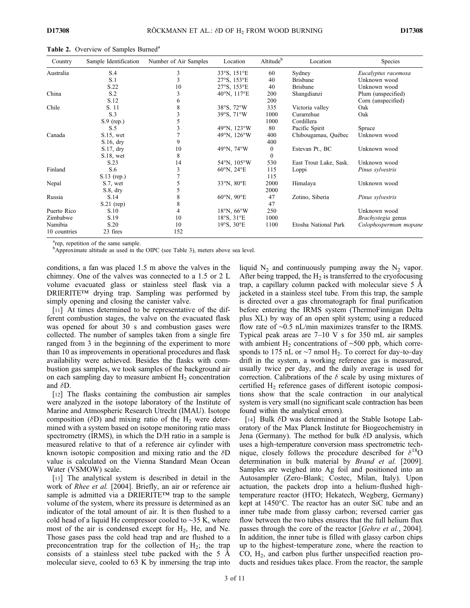| Country      | Sample Identification | Number of Air Samples | Location                               | Altitude <sup>b</sup> | Location               | Species               |
|--------------|-----------------------|-----------------------|----------------------------------------|-----------------------|------------------------|-----------------------|
| Australia    | S.4                   | 3                     | 33°S, 151°E                            | 60                    | Sydney                 | Eucalyptus racemosa   |
|              | S.1                   | 3                     | 27°S, 153°E                            | 40                    | <b>Brisbane</b>        | Unknown wood          |
|              | S.22                  | 10                    | 27°S, 153°E                            | 40                    | <b>Brisbane</b>        | Unknown wood          |
| China        | S.2                   | 3                     | $40^{\circ}$ N, 117 $^{\circ}$ E       | 200                   | Shangdianzi            | Plum (unspecified)    |
|              | S.12                  | 6                     |                                        | 200                   |                        | Corn (unspecified)    |
| Chile        | S. 11                 | 8                     | 38°S, 72°W                             | 335                   | Victoria valley        | Oak                   |
|              | S.3                   | 3                     | 39°S, 71°W                             | 1000                  | Curarrehue             | Oak                   |
|              | $S.9$ (rep.)          | 5                     |                                        | 1000                  | Cordillera             |                       |
|              | S.5                   | 3                     | 49°N, 123°W                            | 80                    | Pacific Spirit         | Spruce                |
| Canada       | S.15, wet             |                       | 49 $\rm^{\circ}N$ , 126 $\rm^{\circ}W$ | 400                   | Chibougamau, Québec    | Unknown wood          |
|              | $S.16$ , dry          | 9                     |                                        | 400                   |                        |                       |
|              | S.17, dry             | 10                    | $49^{\circ}$ N, 74 $^{\circ}$ W        | $\bf{0}$              | Estevan Pt., BC        | Unknown wood          |
|              | $S.18$ , wet          | 8                     |                                        | $\theta$              |                        |                       |
|              | S.23                  | 14                    | $54^{\circ}$ N, $105^{\circ}$ W        | 530                   | East Trout Lake, Sask. | Unknown wood          |
| Finland      | S.6                   | 3                     | $60^{\circ}$ N, $24^{\circ}$ E         | 115                   | Loppi                  | Pinus sylvestris      |
|              | S.13 (rep.)           |                       |                                        | 115                   |                        |                       |
| Nepal        | S.7, wet              | 5                     | $33^{\circ}$ N, $80^{\circ}$ E         | 2000                  | Himalaya               | Unknown wood          |
|              | $S.8$ , dry           | 5                     |                                        | 2000                  |                        |                       |
| Russia       | S.14                  | 8                     | $60^{\circ}$ N, $90^{\circ}$ E         | 47                    | Zotino, Siberia        | Pinus sylvestris      |
|              | $S.21$ (rep)          | 8                     |                                        | 47                    |                        |                       |
| Puerto Rico  | S.10                  | 4                     | $18^{\circ}$ N, $66^{\circ}$ W         | 250                   |                        | Unknown wood          |
| Zimbabwe     | S.19                  | 10                    | $18°S$ , $31°E$                        | 1000                  |                        | Brachystegia genus    |
| Namibia      | S.20                  | 10                    | $19°S$ , $30°E$                        | 1100                  | Etosha National Park   | Colophospermum mopane |
| 10 countries | 23 fires              | 152                   |                                        |                       |                        |                       |

Table 2. Overview of Samples Burned<sup>a</sup>

<sup>a</sup>rep, repetition of the same sample.

 $<sup>b</sup>$ Approximate altitude as used in the OIPC (see Table 3), meters above sea level.</sup>

conditions, a fan was placed 1.5 m above the valves in the chimney. One of the valves was connected to a 1.5 or 2 L volume evacuated glass or stainless steel flask via a DRIERITE™ drying trap. Sampling was performed by simply opening and closing the canister valve.

[11] At times determined to be representative of the different combustion stages, the valve on the evacuated flask was opened for about 30 s and combustion gases were collected. The number of samples taken from a single fire ranged from 3 in the beginning of the experiment to more than 10 as improvements in operational procedures and flask availability were achieved. Besides the flasks with combustion gas samples, we took samples of the background air on each sampling day to measure ambient  $H_2$  concentration and  $\delta D$ .

[12] The flasks containing the combustion air samples were analyzed in the isotope laboratory of the Institute of Marine and Atmospheric Research Utrecht (IMAU). Isotope composition ( $\delta$ D) and mixing ratio of the H<sub>2</sub> were determined with a system based on isotope monitoring ratio mass spectrometry (IRMS), in which the D/H ratio in a sample is measured relative to that of a reference air cylinder with known isotopic composition and mixing ratio and the  $\delta D$ value is calculated on the Vienna Standard Mean Ocean Water (VSMOW) scale.

[13] The analytical system is described in detail in the work of Rhee et al. [2004]. Briefly, an air or reference air sample is admitted via a DRIERITE™ trap to the sample volume of the system, where its pressure is determined as an indicator of the total amount of air. It is then flushed to a cold head of a liquid He compressor cooled to ∼35 K, where most of the air is condensed except for H<sup>2</sup> , He, and Ne. Those gases pass the cold head trap and are flushed to a preconcentration trap for the collection of  $H<sub>2</sub>$ ; the trap consists of a stainless steel tube packed with the 5 Å molecular sieve, cooled to 63 K by inmersing the trap into

liquid  $N_2$  and continuously pumping away the  $N_2$  vapor. After being trapped, the  $H_2$  is transferred to the cryofocusing trap, a capillary column packed with molecular sieve 5 Å jacketed in a stainless steel tube. From this trap, the sample is directed over a gas chromatograph for final purification before entering the IRMS system (ThermoFinnigan Delta plus XL) by way of an open split system; using a reduced flow rate of ∼0.5 nL/min maximizes transfer to the IRMS. Typical peak areas are 7–10 V s for 350 mL air samples with ambient H<sub>2</sub> concentrations of ~500 ppb, which corresponds to 175 nL or  $\sim$ 7 nmol H<sub>2</sub>. To correct for day-to-day drift in the system, a working reference gas is measured, usually twice per day, and the daily average is used for correction. Calibrations of the  $\delta$  scale by using mixtures of certified  $H_2$  reference gases of different isotopic compositions show that the scale contraction in our analytical system is very small (no significant scale contraction has been found within the analytical errors).

[14] Bulk  $\delta$ D was determined at the Stable Isotope Laboratory of the Max Planck Institute for Biogeochemistry in Jena (Germany). The method for bulk  $\delta$ D analysis, which uses a high-temperature conversion mass spectrometric technique, closely follows the procedure described for  $\delta^{18}$ O determination in bulk material by *Brand et al.* [2009]. Samples are weighed into Ag foil and positioned into an Autosampler (Zero‐Blank; Costec, Milan, Italy). Upon actuation, the packets drop into a helium‐flushed high‐ temperature reactor (HTO; Hekatech, Wegberg, Germany) kept at 1450°C. The reactor has an outer SiC tube and an inner tube made from glassy carbon; reversed carrier gas flow between the two tubes ensures that the full helium flux passes through the core of the reactor [Gehre et al., 2004]. In addition, the inner tube is filled with glassy carbon chips up to the highest‐temperature zone, where the reaction to CO, H<sup>2</sup> , and carbon plus further unspecified reaction products and residues takes place. From the reactor, the sample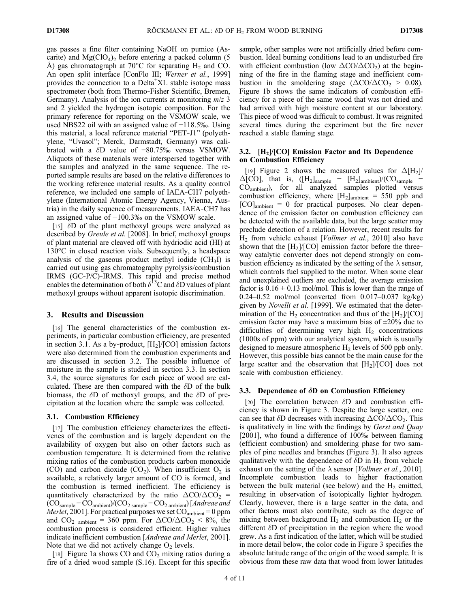gas passes a fine filter containing NaOH on pumice (Ascarite) and  $Mg(CIO<sub>4</sub>)<sub>2</sub>$  before entering a packed column (5 Å) gas chromatograph at 70 $\degree$ C for separating H<sub>2</sub> and CO. An open split interface [ConFlo III; Werner et al., 1999] provides the connection to a Delta<sup>+</sup>XL stable isotope mass spectrometer (both from Thermo-Fisher Scientific, Bremen, Germany). Analysis of the ion currents at monitoring  $m/z$  3 and 2 yielded the hydrogen isotopic composition. For the primary reference for reporting on the VSMOW scale, we used NBS22 oil with an assigned value of −118.5‰. Using this material, a local reference material "PET‐J1" (polyethylene, "Uvasol"; Merck, Darmstadt, Germany) was calibrated with a  $\delta$ D value of −80.75‰ versus VSMOW. Aliquots of these materials were interspersed together with the samples and analyzed in the same sequence. The reported sample results are based on the relative differences to the working reference material results. As a quality control reference, we included one sample of IAEA‐CH7 polyethylene (International Atomic Energy Agency, Vienna, Austria) in the daily sequence of measurements. IAEA‐CH7 has an assigned value of −100.3‰ on the VSMOW scale.

[15]  $\delta$ D of the plant methoxyl groups were analyzed as described by Greule et al. [2008]. In brief, methoxyl groups of plant material are cleaved off with hydriodic acid (HI) at 130°C in closed reaction vials. Subsequently, a headspace analysis of the gaseous product methyl iodide  $(CH_3I)$  is carried out using gas chromatography pyrolysis/combustion IRMS (GC‐P/C)‐IRMS. This rapid and precise method enables the determination of both  $\delta^{13}$ C and  $\delta \vec{D}$  values of plant methoxyl groups without apparent isotopic discrimination.

#### 3. Results and Discussion

[16] The general characteristics of the combustion experiments, in particular combustion efficiency, are presented in section 3.1. As a by-product,  $[H_2]/[CO]$  emission factors were also determined from the combustion experiments and are discussed in section 3.2. The possible influence of moisture in the sample is studied in section 3.3. In section 3.4, the source signatures for each piece of wood are calculated. These are then compared with the  $\delta D$  of the bulk biomass, the  $\delta$ D of methoxyl groups, and the  $\delta$ D of precipitation at the location where the sample was collected.

### 3.1. Combustion Efficiency

[17] The combustion efficiency characterizes the effectivenes of the combustion and is largely dependent on the availability of oxygen but also on other factors such as combustion temperature. It is determined from the relative mixing ratios of the combustion products carbon monoxide (CO) and carbon dioxide  $(CO_2)$ . When insufficient  $O_2$  is available, a relatively larger amount of CO is formed, and the combustion is termed inefficient. The efficiency is quantitatively characterized by the ratio  $\Delta CO/\Delta CO_2$  =  $({\rm CO}_{\rm sample}$  –  ${\rm CO}_{\rm ambient}$ )/( ${\rm CO}_{\rm 2\, sample}$  –  ${\rm CO}_{\rm 2\, ambient}$ ) [Andreae and *Merlet*, 2001]. For practical purposes we set  $CO<sub>ambient</sub> = 0$  ppm and  $CO_2$  <sub>ambient</sub> = 360 ppm. For  $\Delta CO/\Delta CO_2$  < 8%, the combustion process is considered efficient. Higher values indicate inefficient combustion [Andreae and Merlet, 2001]. Note that we did not actively change  $O_2$  levels.

[18] Figure 1a shows CO and  $CO<sub>2</sub>$  mixing ratios during a fire of a dried wood sample (S.16). Except for this specific sample, other samples were not artificially dried before combustion. Ideal burning conditions lead to an undisturbed fire with efficient combustion (low  $\Delta CO/\Delta CO_2$ ) at the beginning of the fire in the flaming stage and inefficient combustion in the smoldering stage  $(\Delta CO/\Delta CO_2 > 0.08)$ . Figure 1b shows the same indicators of combustion efficiency for a piece of the same wood that was not dried and had arrived with high moisture content at our laboratory. This piece of wood was difficult to combust. It was reignited several times during the experiment but the fire never reached a stable flaming stage.

## 3.2.  $[H_2]/[CO]$  Emission Factor and Its Dependence on Combustion Efficiency

[19] Figure 2 shows the measured values for  $\Delta[H_2]$ /  $\Delta$ [CO], that is, ([H<sub>2</sub>]<sub>sample</sub> – [H<sub>2</sub>]<sub>ambient</sub>)/(CO<sub>sample</sub> – COambient), for all analyzed samples plotted versus combustion efficiency, where  $[H_2]_{\text{ambient}} = 550$  ppb and  $[CO]_{\text{ambient}} = 0$  for practical purposes. No clear dependence of the emission factor on combustion efficiency can be detected with the available data, but the large scatter may preclude detection of a relation. However, recent results for  $H<sub>2</sub>$  from vehicle exhaust [*Vollmer et al.*, 2010] also have shown that the  $[H_2]/[CO]$  emission factor before the threeway catalytic converter does not depend strongly on combustion efficiency as indicated by the setting of the  $\lambda$  sensor, which controls fuel supplied to the motor. When some clear and unexplained outliers are excluded, the average emission factor is  $0.16 \pm 0.13$  mol/mol. This is lower than the range of 0.24–0.52 mol/mol (converted from 0.017–0.037 kg/kg) given by Novelli et al. [1999]. We estimated that the determination of the  $H_2$  concentration and thus of the  $[H_2]/[CO]$ emission factor may have a maximum bias of  $\pm 20\%$  due to difficulties of determining very high  $H_2$  concentrations (1000s of ppm) with our analytical system, which is usually designed to measure atmospheric  $H_2$  levels of 500 ppb only. However, this possible bias cannot be the main cause for the large scatter and the observation that  $[H_2]/[CO]$  does not scale with combustion efficiency.

#### 3.3. Dependence of  $\delta D$  on Combustion Efficiency

[20] The correlation between  $\delta$ D and combustion efficiency is shown in Figure 3. Despite the large scatter, one can see that  $\delta D$  decreases with increasing  $\Delta CO/\Delta CO_2$ . This is qualitatively in line with the findings by Gerst and Quay [2001], who found a difference of 100‰ between flaming (efficient combustion) and smoldering phase for two samples of pine needles and branches (Figure 3). It also agrees qualitatively with the dependence of  $\delta$ D in  $H_2$  from vehicle exhaust on the setting of the  $\lambda$  sensor [*Vollmer et al.*, 2010]. Incomplete combustion leads to higher fractionation between the bulk material (see below) and the  $H_2$  emitted, resulting in observation of isotopically lighter hydrogen. Clearly, however, there is a large scatter in the data, and other factors must also contribute, such as the degree of mixing between background  $H_2$  and combustion  $H_2$  or the different  $\delta D$  of precipitation in the region where the wood grew. As a first indication of the latter, which will be studied in more detail below, the color code in Figure 3 specifies the absolute latitude range of the origin of the wood sample. It is obvious from these raw data that wood from lower latitudes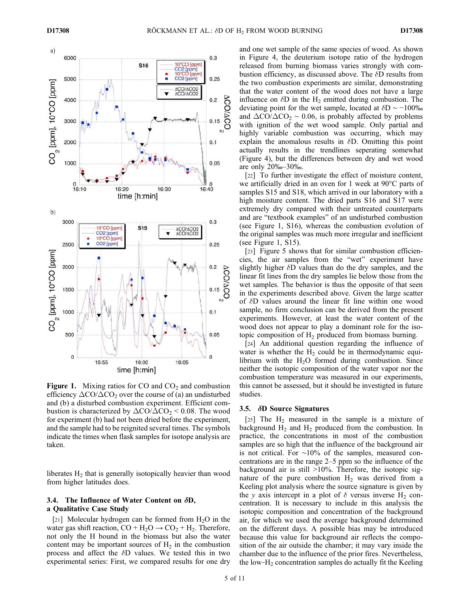

**Figure 1.** Mixing ratios for CO and  $CO<sub>2</sub>$  and combustion efficiency  $\Delta CO/\Delta CO_2$  over the course of (a) an undisturbed and (b) a disturbed combustion experiment. Efficient combustion is characterized by  $\Delta CO/\Delta CO_2$  < 0.08. The wood for experiment (b) had not been dried before the experiment, and the sample had to be reignited several times. The symbols indicate the times when flask samples for isotope analysis are taken.

liberates  $H_2$  that is generally isotopically heavier than wood from higher latitudes does.

# 3.4. The Influence of Water Content on  $\delta D$ , a Qualitative Case Study

[21] Molecular hydrogen can be formed from  $H_2O$  in the water gas shift reaction,  $CO + H_2O \rightarrow CO_2 + H_2$ . Therefore, not only the H bound in the biomass but also the water content may be important sources of  $H_2$  in the combustion process and affect the  $\delta$ D values. We tested this in two experimental series: First, we compared results for one dry and one wet sample of the same species of wood. As shown in Figure 4, the deuterium isotope ratio of the hydrogen released from burning biomass varies strongly with combustion efficiency, as discussed above. The  $\delta D$  results from the two combustion experiments are similar, demonstrating that the water content of the wood does not have a large influence on  $\delta$ D in the H<sub>2</sub> emitted during combustion. The deviating point for the wet sample, located at  $\delta D \sim -100\%$ and  $\Delta CO/\Delta CO_2 \sim 0.06$ , is probably affected by problems with ignition of the wet wood sample. Only partial and highly variable combustion was occurring, which may explain the anomalous results in  $\delta$ D. Omitting this point actually results in the trendlines seperating somewhat (Figure 4), but the differences between dry and wet wood are only 20‰–30‰.

[22] To further investigate the effect of moisture content, we artificially dried in an oven for 1 week at 90°C parts of samples S15 and S18, which arrived in our laboratory with a high moisture content. The dried parts S16 and S17 were extremely dry compared with their untreated counterparts and are "textbook examples" of an undisturbed combustion (see Figure 1, S16), whereas the combustion evolution of the original samples was much more irregular and inefficient (see Figure 1, S15).

[23] Figure 5 shows that for similar combustion efficiencies, the air samples from the "wet" experiment have slightly higher  $\delta$ D values than do the dry samples, and the linear fit lines from the dry samples lie below those from the wet samples. The behavior is thus the opposite of that seen in the experiments described above. Given the large scatter of  $\delta$ D values around the linear fit line within one wood sample, no firm conclusion can be derived from the present experiments. However, at least the water content of the wood does not appear to play a dominant role for the isotopic composition of  $H_2$  produced from biomass burning.

[24] An additional question regarding the influence of water is whether the  $H<sub>2</sub>$  could be in thermodynamic equilibrium with the  $H_2O$  formed during combustion. Since neither the isotopic composition of the water vapor nor the combustion temperature was measured in our experiments, this cannot be assessed, but it should be investigted in future studies.

#### 3.5. dD Source Signatures

[25] The  $H_2$  measured in the sample is a mixture of background  $H_2$  and  $H_2$  produced from the combustion. In practice, the concentrations in most of the combustion samples are so high that the influence of the background air is not critical. For ∼10% of the samples, measured concentrations are in the range 2–5 ppm so the influence of the background air is still  $>10\%$ . Therefore, the isotopic signature of the pure combustion  $H<sub>2</sub>$  was derived from a Keeling plot analysis where the source signature is given by the y axis intercept in a plot of  $\delta$  versus inverse H<sub>2</sub> concentration. It is necessary to include in this analysis the isotopic composition and concentration of the background air, for which we used the average background determined on the different days. A possible bias may be introduced because this value for background air reflects the composition of the air outside the chamber; it may vary inside the chamber due to the influence of the prior fires. Nevertheless, the low- $H_2$  concentration samples do actually fit the Keeling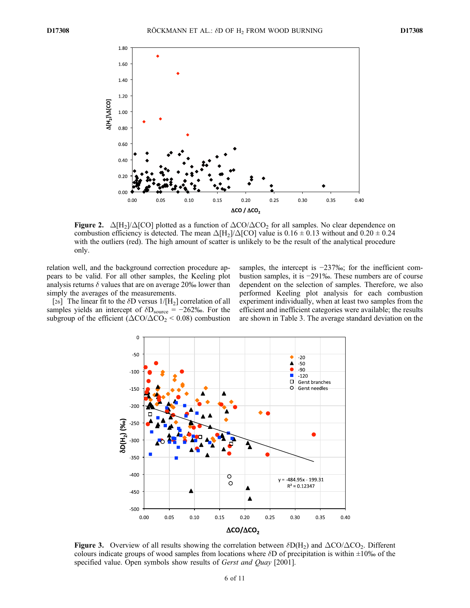

**Figure 2.**  $\Delta[H_2]/\Delta[CO]$  plotted as a function of  $\Delta CO/\Delta CO_2$  for all samples. No clear dependence on combustion efficiency is detected. The mean  $\Delta[H_2]/\Delta[CO]$  value is 0.16  $\pm$  0.13 without and 0.20  $\pm$  0.24 with the outliers (red). The high amount of scatter is unlikely to be the result of the analytical procedure only.

relation well, and the background correction procedure appears to be valid. For all other samples, the Keeling plot analysis returns  $\delta$  values that are on average 20‰ lower than simply the averages of the measurements.

[26] The linear fit to the  $\delta$ D versus 1/[H<sub>2</sub>] correlation of all samples yields an intercept of  $\delta D_{\text{source}} = -262\%$ . For the subgroup of the efficient  $(\Delta CO/\Delta CO_2 < 0.08)$  combustion samples, the intercept is −237‰; for the inefficient combustion samples, it is −291‰. These numbers are of course dependent on the selection of samples. Therefore, we also performed Keeling plot analysis for each combustion experiment individually, when at least two samples from the efficient and inefficient categories were available; the results are shown in Table 3. The average standard deviation on the



**Figure 3.** Overview of all results showing the correlation between  $\delta D(H_2)$  and  $\Delta CO/\Delta CO_2$ . Different colours indicate groups of wood samples from locations where  $\delta D$  of precipitation is within  $\pm 10\%$  of the specified value. Open symbols show results of *Gerst and Quay* [2001].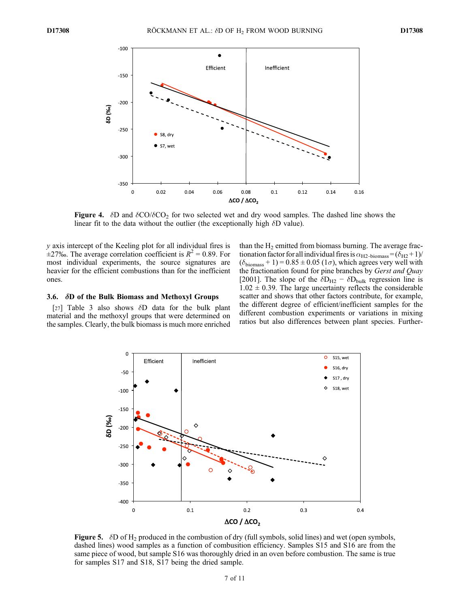

Figure 4.  $\delta$ D and  $\delta$ CO/ $\delta$ CO<sub>2</sub> for two selected wet and dry wood samples. The dashed line shows the linear fit to the data without the outlier (the exceptionally high  $\delta D$  value).

y axis intercept of the Keeling plot for all individual fires is  $\pm$ 27‰. The average correlation coefficient is  $R^2 = 0.89$ . For most individual experiments, the source signatures are heavier for the efficient combustions than for the inefficient ones.

#### 3.6. dD of the Bulk Biomass and Methoxyl Groups

[27] Table 3 also shows  $\delta$ D data for the bulk plant material and the methoxyl groups that were determined on the samples. Clearly, the bulk biomass is much more enriched than the  $H_2$  emitted from biomass burning. The average fractionation factor for all individual fires is  $\alpha_{\text{H2-biomass}} = (\delta_{\text{H2}} + 1)/2$  $(\delta_{\text{biomass}} + 1) = 0.85 \pm 0.05$  ( $1\sigma$ ), which agrees very well with the fractionation found for pine branches by Gerst and Quay [2001]. The slope of the  $\delta D_{H2} - \delta D_{bulk}$  regression line is  $1.02 \pm 0.39$ . The large uncertainty reflects the considerable scatter and shows that other factors contribute, for example, the different degree of efficient/inefficient samples for the different combustion experiments or variations in mixing ratios but also differences between plant species. Further-



**Figure 5.**  $\delta D$  of H<sub>2</sub> produced in the combustion of dry (full symbols, solid lines) and wet (open symbols, dashed lines) wood samples as a function of combusition efficiency. Samples S15 and S16 are from the same piece of wood, but sample S16 was thoroughly dried in an oven before combustion. The same is true for samples S17 and S18, S17 being the dried sample.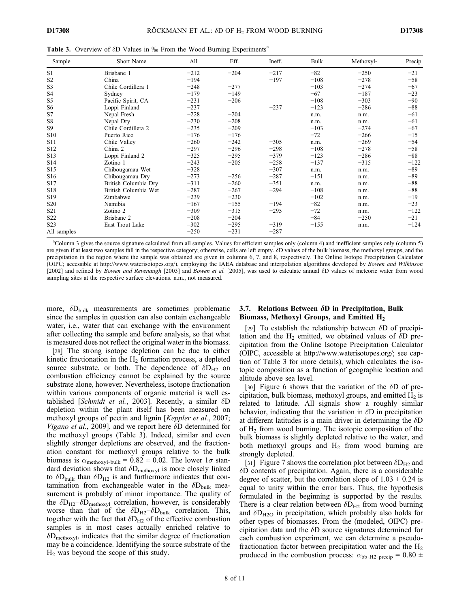Table 3. Overview of  $\delta$ D Values in ‰ From the Wood Burning Experiments<sup>a</sup>

| Sample           | Short Name           | All    | Eff.   | Ineff. | Bulk   | Methoxyl- | Precip. |
|------------------|----------------------|--------|--------|--------|--------|-----------|---------|
| S <sub>1</sub>   | Brisbane 1           | $-212$ | $-204$ | $-217$ | $-82$  | $-250$    | $-21$   |
| S <sub>2</sub>   | China                | $-194$ |        | $-197$ | $-108$ | $-278$    | $-58$   |
| S <sub>3</sub>   | Chile Cordillera 1   | $-248$ | $-277$ |        | $-103$ | $-274$    | $-67$   |
| S4               | Sydney               | $-179$ | $-149$ |        | $-67$  | $-187$    | $-23$   |
| S <sub>5</sub>   | Pacific Spirit, CA   | $-231$ | $-206$ |        | $-108$ | $-303$    | $-90$   |
| S <sub>6</sub>   | Loppi Finland        | $-237$ |        | $-237$ | $-123$ | $-286$    | $-88$   |
| S7               | Nepal Fresh          | $-228$ | $-204$ |        | n.m.   | n.m.      | $-61$   |
| S8               | Nepal Dry            | $-230$ | $-208$ |        | n.m.   | n.m.      | $-61$   |
| S <sub>9</sub>   | Chile Cordillera 2   | $-235$ | $-209$ |        | $-103$ | $-274$    | $-67$   |
| S <sub>10</sub>  | Puerto Rico          | $-176$ | $-176$ |        | $-72$  | $-266$    | $-15$   |
| S11              | Chile Valley         | $-260$ | $-242$ | $-305$ | n.m.   | $-269$    | $-54$   |
| S <sub>12</sub>  | China 2              | $-297$ | $-296$ | $-298$ | $-108$ | $-278$    | $-58$   |
| S13              | Loppi Finland 2      | $-325$ | $-295$ | $-379$ | $-123$ | $-286$    | $-88$   |
| S14              | Zotino 1             | $-243$ | $-205$ | $-258$ | $-137$ | $-315$    | $-122$  |
| S <sub>15</sub>  | Chibougamau Wet      | $-328$ |        | $-307$ | n.m.   | n.m.      | $-89$   |
| S <sub>16</sub>  | Chibougamau Dry      | $-273$ | $-256$ | $-287$ | $-151$ | n.m.      | $-89$   |
| S17              | British Columbia Dry | $-311$ | $-260$ | $-351$ | n.m.   | n.m.      | $-88$   |
| S18              | British Columbia Wet | $-287$ | $-267$ | $-294$ | $-108$ | n.m.      | $-88$   |
| S <sub>19</sub>  | Zimbabwe             | $-239$ | $-230$ |        | $-102$ | n.m.      | $-19$   |
| S <sub>20</sub>  | Namibia              | $-167$ | $-155$ | $-194$ | $-82$  | n.m.      | $-23$   |
| S <sub>21</sub>  | Zotino 2             | $-309$ | $-315$ | $-295$ | $-72$  | n.m.      | $-122$  |
| S <sub>22</sub>  | Brisbane 2           | $-208$ | $-204$ |        | $-84$  | $-250$    | $-21$   |
| S <sub>2</sub> 3 | East Trout Lake      | $-302$ | $-295$ | $-319$ | $-155$ | n.m.      | $-124$  |
| All samples      |                      | $-250$ | $-231$ | $-287$ |        |           |         |

<sup>a</sup>Column 3 gives the source signature calculated from all samples. Values for efficient samples only (column 4) and inefficient samples only (column 5) are given if at least two samples fall in the respective category; otherwise, cells are left empty.  $\delta D$  values of the bulk biomass, the methoxyl groups, and the precipitation in the region where the sample was obtained are given in columns 6, 7, and 8, respectively. The Online Isotope Precipitation Calculator (OIPC; accessible at http://www.waterisotopes.org/), employing the IAEA database and interpolation algorithms developed by Bowen and Wilkinson [2002] and refined by Bowen and Revenaugh [2003] and Bowen et al. [2005], was used to calculate annual  $\delta$ D values of meteoric water from wood sampling sites at the respective surface elevations. n.m., not measured.

more,  $\delta D_{\text{bulk}}$  measurements are sometimes problematic since the samples in question can also contain exchangeable water, i.e., water that can exchange with the environment after collecting the sample and before analysis, so that what is measured does not reflect the original water in the biomass.

[28] The strong isotope depletion can be due to either kinetic fractionation in the  $H_2$  formation process, a depleted source substrate, or both. The dependence of  $\delta D_{H2}$  on combustion efficiency cannot be explained by the source substrate alone, however. Nevertheless, isotope fractionation within various components of organic material is well established [Schmidt et al., 2003]. Recently, a similar  $\delta D$ depletion within the plant itself has been measured on methoxyl groups of pectin and lignin [Keppler et al., 2007; Vigano et al., 2009], and we report here  $\delta$ D determined for the methoxyl groups (Table 3). Indeed, similar and even slightly stronger depletions are observed, and the fractionation constant for methoxyl groups relative to the bulk biomass is  $\alpha_{\text{methoxyl-bulk}} = 0.82 \pm 0.02$ . The lower  $1\sigma$  standard deviation shows that  $\delta D_{\text{methoxyl}}$  is more closely linked to  $\delta D_{\text{bulk}}$  than  $\delta D_{\text{H2}}$  is and furthermore indicates that contamination from exchangeable water in the  $\delta D_{bulk}$  measurement is probably of minor importance. The quality of the  $\delta D_{H2} - \delta D_{\text{methoxyl}}$  correlation, however, is considerably worse than that of the  $\delta D_{H2} - \delta D_{bulk}$  correlation. This, together with the fact that  $\delta D_{H2}$  of the effective combustion samples is in most cases actually enriched relative to  $\delta D_{\text{methoxyl}}$ , indicates that the similar degree of fractionation may be a coincidence. Identifying the source substrate of the  $H<sub>2</sub>$  was beyond the scope of this study.

# 3.7. Relations Between  $\delta D$  in Precipitation, Bulk Biomass, Methoxyl Groups, and Emitted  $H_2$

[29] To establish the relationship between  $\delta$ D of precipitation and the  $H_2$  emitted, we obtained values of  $\delta D$  precipitation from the Online Isotope Precipitation Calculator (OIPC, accessible at http://www.waterisotopes.org/; see caption of Table 3 for more details), which calculates the isotopic composition as a function of geographic location and altitude above sea level.

[30] Figure 6 shows that the variation of the  $\delta$ D of precipitation, bulk biomass, methoxyl groups, and emitted  $H_2$  is related to latitude. All signals show a roughly similar behavior, indicating that the variation in  $\delta$ D in precipitation at different latitudes is a main driver in determining the  $\delta D$ of  $H_2$  from wood burning. The isotopic composition of the bulk biomass is slightly depleted relative to the water, and both methoxyl groups and  $H_2$  from wood burning are strongly depleted.

[31] Figure 7 shows the correlation plot between  $\delta D_{H2}$  and  $\delta$ D contents of precipitation. Again, there is a considerable degree of scatter, but the correlation slope of  $1.03 \pm 0.24$  is equal to unity within the error bars. Thus, the hypothesis formulated in the beginning is supported by the results. There is a clear relation between  $\delta D_{H2}$  from wood burning and  $\delta D_{\text{H2O}}$  in precipitation, which probably also holds for other types of biomasses. From the (modeled, OIPC) precipitation data and the  $\delta$ D source signatures determined for each combustion experiment, we can determine a pseudofractionation factor between precipitation water and the  $H_2$ produced in the combustion process:  $\alpha_{\text{bb-H2-precip}} = 0.80 \pm$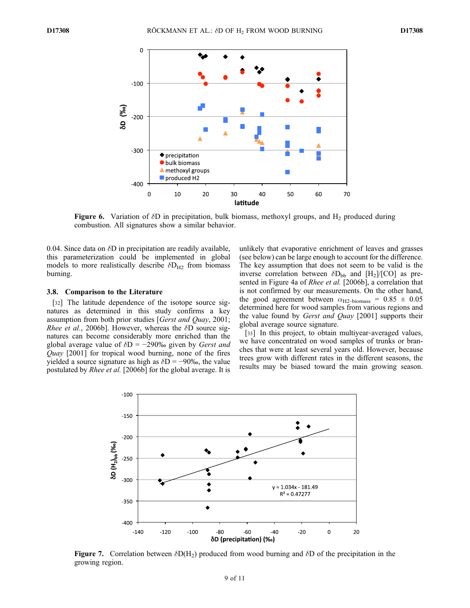

**Figure 6.** Variation of  $\delta$ D in precipitation, bulk biomass, methoxyl groups, and H<sub>2</sub> produced during combustion. All signatures show a similar behavior.

0.04. Since data on  $\delta$ D in precipitation are readily available, this parameterization could be implemented in global models to more realistically describe  $\delta D_{H2}$  from biomass burning.

## 3.8. Comparison to the Literature

[32] The latitude dependence of the isotope source signatures as determined in this study confirms a key assumption from both prior studies [Gerst and Quay, 2001; *Rhee et al.*, 2006b]. However, whereas the  $\delta$ D source signatures can become considerably more enriched than the global average value of  $\delta D = -290\%$  given by Gerst and *Quay* [2001] for tropical wood burning, none of the fires yielded a source signature as high as  $\delta D = -90\%$ , the value postulated by Rhee et al. [2006b] for the global average. It is unlikely that evaporative enrichment of leaves and grasses (see below) can be large enough to account for the difference. The key assumption that does not seem to be valid is the inverse correlation between  $\delta D_{bb}$  and [H<sub>2</sub>]/[CO] as presented in Figure 4a of Rhee et al. [2006b], a correlation that is not confirmed by our measurements. On the other hand, the good agreement between  $\alpha_{\text{H2-biomass}} = 0.85 \pm 0.05$ determined here for wood samples from various regions and the value found by Gerst and Quay [2001] supports their global average source signature.

[33] In this project, to obtain multiyear-averaged values, we have concentrated on wood samples of trunks or branches that were at least several years old. However, because trees grow with different rates in the different seasons, the results may be biased toward the main growing season.



Figure 7. Correlation between  $\delta D(H_2)$  produced from wood burning and  $\delta D$  of the precipitation in the growing region.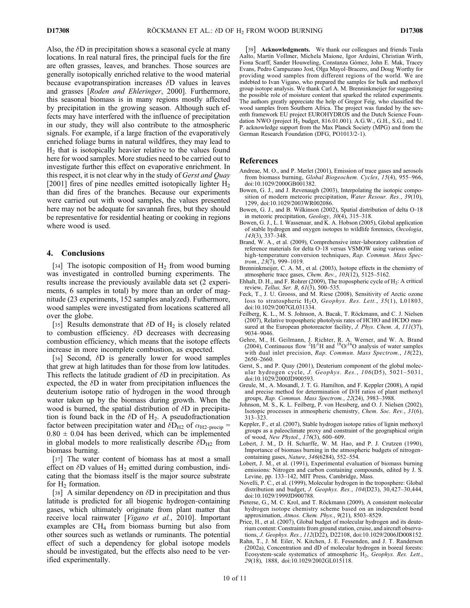Also, the  $\delta$ D in precipitation shows a seasonal cycle at many locations. In real natural fires, the principal fuels for the fire are often grasses, leaves, and branches. Those sources are generally isotopically enriched relative to the wood material because evapotranspiration increases  $\delta$ D values in leaves and grasses [Roden and Ehleringer, 2000]. Furthermore, this seasonal biomass is in many regions mostly affected by precipitation in the growing season. Although such effects may have interfered with the influence of precipitation in our study, they will also contribute to the atmospheric signals. For example, if a large fraction of the evaporatively enriched foliage burns in natural wildfires, they may lead to  $H<sub>2</sub>$  that is isotopically heavier relative to the values found here for wood samples. More studies need to be carried out to investigate further this effect on evaporative enrichment. In this respect, it is not clear why in the study of *Gerst and Quay* [2001] fires of pine needles emitted isotopically lighter  $H_2$ than did fires of the branches. Because our experiments were carried out with wood samples, the values presented here may not be adequate for savannah fires, but they should be representative for residential heating or cooking in regions where wood is used.

## 4. Conclusions

[34] The isotopic composition of  $H_2$  from wood burning was investigated in controlled burning experiments. The results increase the previously available data set (2 experiments, 6 samples in total) by more than an order of magnitude (23 experiments, 152 samples analyzed). Futhermore, wood samples were investigated from locations scattered all over the globe.

[35] Results demonstrate that  $\delta$ D of H<sub>2</sub> is closely related to combustion efficiency.  $\delta D$  decreases with decreasing combustion efficiency, which means that the isotope effects increase in more incomplete combustion, as expected.

[36] Second,  $\delta$ D is generally lower for wood samples that grew at high latitudes than for those from low latitudes. This reflects the latitude gradient of  $\delta$ D in precipitation. As expected, the  $\delta$ D in water from precipitation influences the deuterium isotope ratio of hydrogen in the wood through water taken up by the biomass during growth. When the wood is burned, the spatial distribution of  $\delta D$  in precipitation is found back in the  $\delta$ D of H<sub>2</sub>. A pseudofractionation factor between precipitation water and  $\delta D_{H2}$  of  $\alpha_{H2-precip}$  =  $0.80 \pm 0.04$  has been derived, which can be implemented in global models to more realistically describe  $\delta D_{H2}$  from biomass burning.

[37] The water content of biomass has at most a small effect on  $\delta$ D values of H<sub>2</sub> emitted during combustion, indicating that the biomass itself is the major source substrate for  $H_2$  formation.

[38] A similar dependency on  $\delta$ D in precipitation and thus latitude is predicted for all biogenic hydrogen‐containing gases, which ultimately originate from plant matter that receive local rainwater [Vigano et al., 2010]. Important examples are  $CH<sub>4</sub>$  from biomass burning but also from other sources such as wetlands or ruminants. The potential effect of such a dependency for global isotope models should be investigated, but the effects also need to be verified experimentally.

[39] **Acknowledgments.** We thank our colleagues and friends Tuula Aalto, Martin Vollmer, Michela Maione, Igor Arduini, Christian Wirth, Fiona Scarff, Sander Houweling, Constanza Gómez, John E. Mak, Tracey Evans, Pedro Campuzano Jost, Olga Mayol‐Bracero, and Doug Worthy for providing wood samples from different regions of the world. We are indebted to Ivan Vigano, who prepared the samples for bulk and methoxyl group isotope analysis. We thank Carl A. M. Brenninkmeijer for suggesting the possible role of moisture content that sparked the related experiments. The authors greatly appreciate the help of Gregor Feig, who classified the wood samples from Southern Africa. The project was funded by the seventh framework EU project EUROHYDROS and the Dutch Science Foundation NWO (project  $H_2$  budget, 816.01.001). A.G.W., G.H., S.G., and U. P. acknowledge support from the Max Planck Society (MPG) and from the German Research Foundation (DFG, PO1013/2‐1).

#### References

- Andreae, M. O., and P. Merlet (2001), Emission of trace gases and aerosols from biomass burning, Global Biogeochem. Cycles, 15(4), 955–966, doi:10.1029/2000GB001382.
- Bowen, G. J., and J. Revenaugh (2003), Interpolating the isotopic composition of modern meteoric precipitation, Water Resour. Res., 39(10), 1299, doi:10.1029/2003WR002086.
- Bowen, G. J., and B. Wilkinson (2002), Spatial distribution of delta O‐18 in meteoric precipitation,  $Geology$ ,  $30(4)$ ,  $315-318$ .
- Bowen, G. J., L. I. Wassenaar, and K. A. Hobson (2005), Global application of stable hydrogen and oxygen isotopes to wildlife forensics, Oecologia, 143(3), 337–348.
- Brand, W. A., et al. (2009), Comprehensive inter‐laboratory calibration of reference materials for delta O‐18 versus VSMOW using various online high-temperature conversion techniques, Rap. Commun. Mass Spectrom.,  $23(7)$ , 999-1019.
- Brenninkmeijer, C. A. M., et al. (2003), Isotope effects in the chemistry of atmospheric trace gases, Chem. Rev., 103(12), 5125–5162.
- Ehhalt, D. H., and F. Rohrer (2009), The tropospheric cycle of  $H_2$ : A critical review, Tellus, Ser. B, 61(3), 500–535.
- Feck, T., J. U. Grooss, and M. Riese (2008), Sensitivity of Arctic ozone loss to stratospheric  $H_2O$ , Geophys. Res. Lett., 35(1), L01803, doi:10.1029/2007GL031334.
- Feilberg, K. L., M. S. Johnson, A. Bacak, T. Röckmann, and C. J. Nielsen (2007), Relative tropospheric photolysis rates of HCHO and HCDO measured at the European photoreactor facility, *J. Phys. Chem. A, 111(37)*, 9034–9046.
- Gehre, M., H. Geilmann, J. Richter, R. A. Werner, and W. A. Brand (2004), Continuous flow  ${}^{2}H^{1}H$  and  ${}^{18}O^{16}O$  analysis of water samples with dual inlet precision, Rap. Commun. Mass Spectrom., 18(22), 2650–2660.
- Gerst, S., and P. Quay (2001), Deuterium component of the global molecular hydrogen cycle, *J. Geophys. Res.*, 106(D5), 5021-5031, doi:10.1029/2000JD900593.
- Greule, M., A. Mosandl, J. T. G. Hamilton, and F. Keppler (2008), A rapid and precise method for determination of D/H ratios of plant methoxyl groups, Rap. Commun. Mass Spectrom., 22(24), 3983–3988.
- Johnson, M. S., K. L. Feilberg, P. von Hessberg, and O. J. Nielsen (2002), Isotopic processes in atmospheric chemistry, Chem. Soc. Rev., 31(6), 313–323.
- Keppler, F., et al. (2007), Stable hydrogen isotope ratios of lignin methoxyl groups as a paleoclimate proxy and constraint of the geographical origin of wood, New Phytol., 176(3), 600–609.
- Lobert, J. M., D. H. Scharffe, W. M. Hao, and P. J. Crutzen (1990), Importance of biomass burning in the atmospheric budgets of nitrogencontaining gases, Nature, 346(6284), 552–554.
- Lobert, J. M., et al. (1991), Experimental evaluation of biomass burning emissions: Nitrogen and carbon containing compounds, edited by J. S. Levine, pp. 133–142, MIT Press, Cambridge, Mass.
- Novelli, P. C., et al. (1999), Molecular hydrogen in the troposphere: Global distribution and budget, J. Geophys. Res., 104(D23), 30,427–30,444, doi:10.1029/1999JD900788.
- Pieterse, G., M. C. Krol, and T. Röckmann (2009), A consistent molecular hydrogen isotope chemistry scheme based on an independent bond approximation, Atmos. Chem. Phys., 9(21), 8503–8529.
- Price, H., et al. (2007), Global budget of molecular hydrogen and its deuterium content: Constraints from ground station, cruise, and aircraft observations, J. Geophys. Res., 112(D22), D22108, doi:10.1029/2006JD008152.
- Rahn, T., J. M. Eiler, N. Kitchen, J. E. Fessenden, and J. T. Randerson (2002a), Concentration and dD of molecular hydrogen in boreal forests: Ecosystem-scale systematics of atmospheric H<sub>2</sub>, Geophys. Res. Lett., 29(18), 1888, doi:10.1029/2002GL015118.